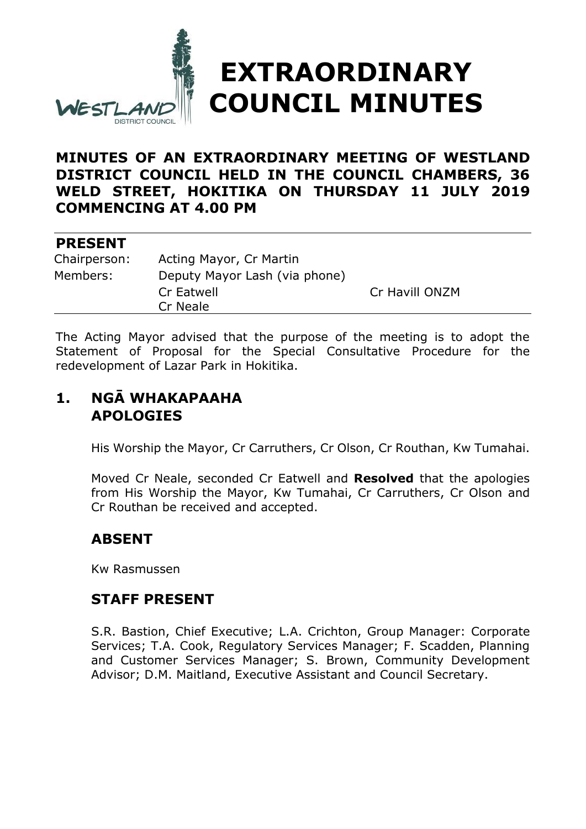

#### **MINUTES OF AN EXTRAORDINARY MEETING OF WESTLAND DISTRICT COUNCIL HELD IN THE COUNCIL CHAMBERS, 36 WELD STREET, HOKITIKA ON THURSDAY 11 JULY 2019 COMMENCING AT 4.00 PM**

#### **PRESENT**

| Chairperson: | Acting Mayor, Cr Martin       |                |
|--------------|-------------------------------|----------------|
| Members:     | Deputy Mayor Lash (via phone) |                |
|              | Cr Eatwell                    | Cr Havill ONZM |
|              | Cr Neale                      |                |

The Acting Mayor advised that the purpose of the meeting is to adopt the Statement of Proposal for the Special Consultative Procedure for the redevelopment of Lazar Park in Hokitika.

# **1. NGĀ WHAKAPAAHA APOLOGIES**

His Worship the Mayor, Cr Carruthers, Cr Olson, Cr Routhan, Kw Tumahai.

Moved Cr Neale, seconded Cr Eatwell and **Resolved** that the apologies from His Worship the Mayor, Kw Tumahai, Cr Carruthers, Cr Olson and Cr Routhan be received and accepted.

### **ABSENT**

Kw Rasmussen

### **STAFF PRESENT**

S.R. Bastion, Chief Executive; L.A. Crichton, Group Manager: Corporate Services; T.A. Cook, Regulatory Services Manager; F. Scadden, Planning and Customer Services Manager; S. Brown, Community Development Advisor; D.M. Maitland, Executive Assistant and Council Secretary.